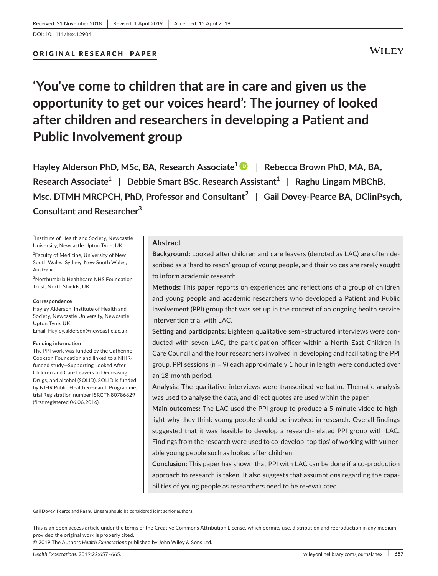## ORIGINAL RESEARCH PAPER

# **WILEY**

**'You've come to children that are in care and given us the opportunity to get our voices heard': The journey of looked after children and researchers in developing a Patient and Public Involvement group**

**Hayley Alderson PhD, MSc, BA, Research Associate1** | **Rebecca Brown PhD, MA, BA, Research Associate<sup>1</sup> | Debbie Smart BSc, Research Assistant<sup>1</sup> | Raghu Lingam MBChB, Msc. DTMH MRCPCH, PhD, Professor and Consultant<sup>2</sup>** | **Gail Dovey‐Pearce BA, DClinPsych, Consultant and Researcher<sup>3</sup>**

<sup>1</sup>Institute of Health and Society, Newcastle University, Newcastle Upton Tyne, UK

<sup>2</sup>Faculty of Medicine, University of New South Wales, Sydney, New South Wales, Australia

3 Northumbria Healthcare NHS Foundation Trust, North Shields, UK

#### **Correspondence**

Hayley Alderson, Institute of Health and Society, Newcastle University, Newcastle Upton Tyne, UK. Email: [Hayley.alderson@newcastle.ac.uk](mailto:Hayley.alderson@newcastle.ac.uk)

**Funding information**

The PPI work was funded by the Catherine Cookson Foundation and linked to a NIHR‐ funded study—Supporting Looked After Children and Care Leavers In Decreasing Drugs, and alcohol (SOLID). SOLID is funded by NIHR Public Health Research Programme, trial Registration number ISRCTN80786829 (first registered 06.06.2016).

### **Abstract**

**Background:** Looked after children and care leavers (denoted as LAC) are often described as a 'hard to reach' group of young people, and their voices are rarely sought to inform academic research.

**Methods:** This paper reports on experiences and reflections of a group of children and young people and academic researchers who developed a Patient and Public Involvement (PPI) group that was set up in the context of an ongoing health service intervention trial with LAC.

**Setting and participants:** Eighteen qualitative semi‐structured interviews were conducted with seven LAC, the participation officer within a North East Children in Care Council and the four researchers involved in developing and facilitating the PPI group. PPI sessions (n = 9) each approximately 1 hour in length were conducted over an 18‐month period.

**Analysis:** The qualitative interviews were transcribed verbatim. Thematic analysis was used to analyse the data, and direct quotes are used within the paper.

**Main outcomes:** The LAC used the PPI group to produce a 5‐minute video to highlight why they think young people should be involved in research. Overall findings suggested that it was feasible to develop a research-related PPI group with LAC. Findings from the research were used to co-develop 'top tips' of working with vulnerable young people such as looked after children.

**Conclusion:** This paper has shown that PPI with LAC can be done if a co-production approach to research is taken. It also suggests that assumptions regarding the capabilities of young people as researchers need to be re‐evaluated.

Gail Dovey‐Pearce and Raghu Lingam should be considered joint senior authors.

This is an open access article under the terms of the Creative Commons [Attribution](http://creativecommons.org/licenses/by/4.0/) License, which permits use, distribution and reproduction in any medium, provided the original work is properly cited.

© 2019 The Authors *Health Expectations* published by John Wiley & Sons Ltd.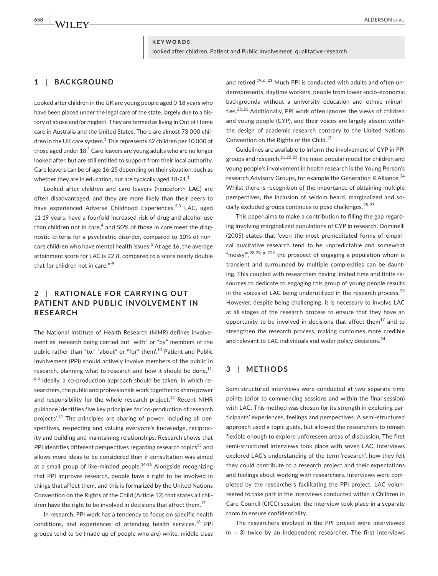### **KEYWORDS**

looked after children, Patient and Public Involvement, qualitative research

# **1** | **BACKGROUND**

Looked after children in the UK are young people aged 0‐18 years who have been placed under the legal care of the state, largely due to a history of abuse and/or neglect. They are termed as living in Out of Home care in Australia and the United States. There are almost 73 000 children in the UK care system.<sup>1</sup> This represents 62 children per 10 000 of those aged under  $18<sup>1</sup>$  Care leavers are young adults who are no longer looked after, but are still entitled to support from their local authority. Care leavers can be of age 16‐25 depending on their situation, such as whether they are in education, but are typically aged 18-21.<sup>1</sup>

Looked after children and care leavers (henceforth LAC) are often disadvantaged, and they are more likely than their peers to have experienced Adverse Childhood Experiences.<sup>2,3</sup> LAC, aged 11‐19 years, have a fourfold increased risk of drug and alcohol use than children not in care, $4$  and 50% of those in care meet the diagnostic criteria for a psychiatric disorder, compared to 10% of non‐ care children who have mental health issues.<sup>5</sup> At age 16, the average attainment score for LAC is 22.8, compared to a score nearly double that for children not in care. $6-9$ 

# **2** | **R ATIONALE FOR C ARRYING OUT PATIENT AND PUBLIC INVOLVEMENT IN RESEARCH**

The National Institute of Health Research (NIHR) defines involvement as 'research being carried out "with" or "by" members of the public rather than "to," "about" or "for" them'.<sup>10</sup> Patient and Public Involvement (PPI) should actively involve members of the public in research, planning what to research and how it should be done.<sup>11,</sup>  $p.5$  Ideally, a co-production approach should be taken, in which researchers, the public and professionals work together to share power and responsibility for the whole research project.<sup>12</sup> Recent NIHR guidance identifies five key principles for 'co‐production of research projects'.<sup>12</sup> The principles are sharing of power, including all perspectives, respecting and valuing everyone's knowledge, reciprocity and building and maintaining relationships. Research shows that PPI identifies different perspectives regarding research topics $^{13}$  and allows more ideas to be considered than if consultation was aimed at a small group of like-minded people. $14-16$  Alongside recognizing that PPI improves research, people have a right to be involved in things that affect them, and this is formalized by the United Nations Convention on the Rights of the Child (Article 12) that states all children have the right to be involved in decisions that affect them.<sup>17</sup>

In research, PPI work has a tendency to focus on specific health conditions, and experiences of attending health services. $18$  PPI groups tend to be (made up of people who are) white, middle class and retired.<sup>19, p. 21</sup> Much PPI is conducted with adults and often underrepresents, daytime workers, people from lower socio‐economic backgrounds without a university education and ethnic minorities.<sup>20,21</sup> Additionally, PPI work often ignores the views of children and young people (CYP), and their voices are largely absent within the design of academic research contrary to the United Nations Convention on the Rights of the Child.<sup>17</sup>

Guidelines are available to inform the involvement of CYP in PPI groups and research.11,22,23 The most popular model for children and young people's involvement in health research is the Young Person's research Advisory Groups, for example the Generation R Alliance.<sup>24</sup> Whilst there is recognition of the importance of obtaining multiple perspectives, the inclusion of seldom heard, marginalized and socially excluded groups continues to pose challenges.<sup>25-27</sup>

This paper aims to make a contribution to filling the gap regarding involving marginalized populations of CYP in research. Dominelli (2005) states that 'even the most premeditated forms of empirical qualitative research tend to be unpredictable and somewhat "messy",  $^{28,29, p. 229}$  the prospect of engaging a population whom is transient and surrounded by multiple complexities can be daunting. This coupled with researchers having limited time and finite resources to dedicate to engaging this group of young people results in the voices of LAC being underutilized in the research process. $29$ However, despite being challenging, it is necessary to involve LAC at all stages of the research process to ensure that they have an opportunity to be involved in decisions that affect them $^{17}$  and to strengthen the research process, making outcomes more credible and relevant to LAC individuals and wider policy decisions.<sup>24</sup>

# **3** | **METHODS**

Semi-structured interviews were conducted at two separate time points (prior to commencing sessions and within the final session) with LAC. This method was chosen for its strength in exploring participants' experiences, feelings and perspectives. A semi‐structured approach used a topic guide, but allowed the researchers to remain flexible enough to explore unforeseen areas of discussion. The first semi-structured interviews took place with seven LAC. Interviews explored LAC's understanding of the term 'research', how they felt they could contribute to a research project and their expectations and feelings about working with researchers. Interviews were completed by the researchers facilitating the PPI project. LAC volunteered to take part in the interviews conducted within a Children in Care Council (CICC) session; the interview took place in a separate room to ensure confidentiality.

The researchers involved in the PPI project were interviewed  $(n = 3)$  twice by an independent researcher. The first interviews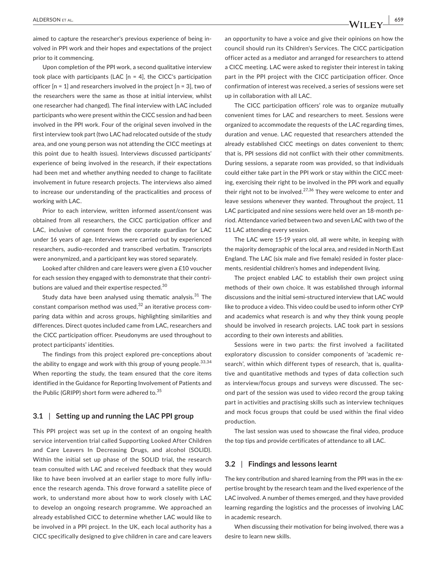aimed to capture the researcher's previous experience of being involved in PPI work and their hopes and expectations of the project prior to it commencing.

Upon completion of the PPI work, a second qualitative interview took place with participants (LAC  $[n = 4]$ , the CICC's participation officer  $[n = 1]$  and researchers involved in the project  $[n = 3]$ , two of the researchers were the same as those at initial interview, whilst one researcher had changed). The final interview with LAC included participants who were present within the CICC session and had been involved in the PPI work. Four of the original seven involved in the first interview took part (two LAC had relocated outside of the study area, and one young person was not attending the CICC meetings at this point due to health issues). Interviews discussed participants' experience of being involved in the research, if their expectations had been met and whether anything needed to change to facilitate involvement in future research projects. The interviews also aimed to increase our understanding of the practicalities and process of working with LAC.

Prior to each interview, written informed assent/consent was obtained from all researchers, the CICC participation officer and LAC, inclusive of consent from the corporate guardian for LAC under 16 years of age. Interviews were carried out by experienced researchers, audio‐recorded and transcribed verbatim. Transcripts were anonymized, and a participant key was stored separately.

Looked after children and care leavers were given a £10 voucher for each session they engaged with to demonstrate that their contributions are valued and their expertise respected.<sup>30</sup>

Study data have been analysed using thematic analysis. $31$  The constant comparison method was used, $32$  an iterative process comparing data within and across groups, highlighting similarities and differences. Direct quotes included came from LAC, researchers and the CICC participation officer. Pseudonyms are used throughout to protect participants' identities.

The findings from this project explored pre‐conceptions about the ability to engage and work with this group of young people. $33,34$ When reporting the study, the team ensured that the core items identified in the Guidance for Reporting Involvement of Patients and the Public (GRIPP) short form were adhered to.<sup>35</sup>

### **3.1** | **Setting up and running the LAC PPI group**

This PPI project was set up in the context of an ongoing health service intervention trial called Supporting Looked After Children and Care Leavers In Decreasing Drugs, and alcohol (SOLID). Within the initial set up phase of the SOLID trial, the research team consulted with LAC and received feedback that they would like to have been involved at an earlier stage to more fully influence the research agenda. This drove forward a satellite piece of work, to understand more about how to work closely with LAC to develop an ongoing research programme. We approached an already established CICC to determine whether LAC would like to be involved in a PPI project. In the UK, each local authority has a CICC specifically designed to give children in care and care leavers

an opportunity to have a voice and give their opinions on how the council should run its Children's Services. The CICC participation officer acted as a mediator and arranged for researchers to attend a CICC meeting. LAC were asked to register their interest in taking part in the PPI project with the CICC participation officer. Once confirmation of interest was received, a series of sessions were set up in collaboration with all LAC.

The CICC participation officers' role was to organize mutually convenient times for LAC and researchers to meet. Sessions were organized to accommodate the requests of the LAC regarding times, duration and venue. LAC requested that researchers attended the already established CICC meetings on dates convenient to them; that is, PPI sessions did not conflict with their other commitments. During sessions, a separate room was provided, so that individuals could either take part in the PPI work or stay within the CICC meeting, exercising their right to be involved in the PPI work and equally their right not to be involved.<sup>27,36</sup> They were welcome to enter and leave sessions whenever they wanted. Throughout the project, 11 LAC participated and nine sessions were held over an 18‐month period. Attendance varied between two and seven LAC with two of the 11 LAC attending every session.

The LAC were 15‐19 years old, all were white, in keeping with the majority demographic of the local area, and resided in North East England. The LAC (six male and five female) resided in foster placements, residential children's homes and independent living.

The project enabled LAC to establish their own project using methods of their own choice. It was established through informal discussions and the initial semi‐structured interview that LAC would like to produce a video. This video could be used to inform other CYP and academics what research is and why they think young people should be involved in research projects. LAC took part in sessions according to their own interests and abilities.

Sessions were in two parts: the first involved a facilitated exploratory discussion to consider components of 'academic research', within which different types of research, that is, qualitative and quantitative methods and types of data collection such as interview/focus groups and surveys were discussed. The second part of the session was used to video record the group taking part in activities and practising skills such as interview techniques and mock focus groups that could be used within the final video production.

The last session was used to showcase the final video, produce the top tips and provide certificates of attendance to all LAC.

## **3.2** | **Findings and lessons learnt**

The key contribution and shared learning from the PPI was in the expertise brought by the research team and the lived experience of the LAC involved. A number of themes emerged, and they have provided learning regarding the logistics and the processes of involving LAC in academic research.

When discussing their motivation for being involved, there was a desire to learn new skills.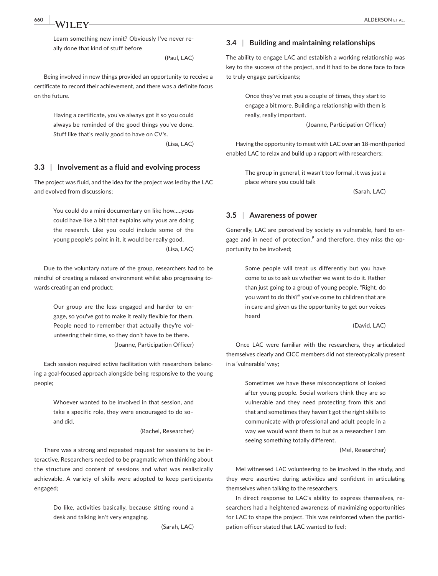Learn something new innit? Obviously I've never really done that kind of stuff before

(Paul, LAC)

Being involved in new things provided an opportunity to receive a certificate to record their achievement, and there was a definite focus on the future.

> Having a certificate, you've always got it so you could always be reminded of the good things you've done. Stuff like that's really good to have on CV's.

> > (Lisa, LAC)

### **3.3** | **Involvement as a fluid and evolving process**

The project was fluid, and the idea for the project was led by the LAC and evolved from discussions;

> You could do a mini documentary on like how…..yous could have like a bit that explains why yous are doing the research. Like you could include some of the young people's point in it, it would be really good. (Lisa, LAC)

Due to the voluntary nature of the group, researchers had to be mindful of creating a relaxed environment whilst also progressing towards creating an end product;

> Our group are the less engaged and harder to engage, so you've got to make it really flexible for them. People need to remember that actually they're volunteering their time, so they don't have to be there. (Joanne, Participation Officer)

Each session required active facilitation with researchers balancing a goal‐focused approach alongside being responsive to the young people;

> Whoever wanted to be involved in that session, and take a specific role, they were encouraged to do so– and did.

> > (Rachel, Researcher)

There was a strong and repeated request for sessions to be interactive. Researchers needed to be pragmatic when thinking about the structure and content of sessions and what was realistically achievable. A variety of skills were adopted to keep participants engaged;

> Do like, activities basically, because sitting round a desk and talking isn't very engaging.

> > (Sarah, LAC)

### **3.4** | **Building and maintaining relationships**

The ability to engage LAC and establish a working relationship was key to the success of the project, and it had to be done face to face to truly engage participants;

> Once they've met you a couple of times, they start to engage a bit more. Building a relationship with them is really, really important.

> > (Joanne, Participation Officer)

Having the opportunity to meet with LAC over an 18-month period enabled LAC to relax and build up a rapport with researchers;

> The group in general, it wasn't too formal, it was just a place where you could talk

> > (Sarah, LAC)

# **3.5** | **Awareness of power**

Generally, LAC are perceived by society as vulnerable, hard to engage and in need of protection,<sup>9</sup> and therefore, they miss the opportunity to be involved;

> Some people will treat us differently but you have come to us to ask us whether we want to do it. Rather than just going to a group of young people, "Right, do you want to do this?" you've come to children that are in care and given us the opportunity to get our voices heard

> > (David, LAC)

Once LAC were familiar with the researchers, they articulated themselves clearly and CICC members did not stereotypically present in a 'vulnerable' way;

> Sometimes we have these misconceptions of looked after young people. Social workers think they are so vulnerable and they need protecting from this and that and sometimes they haven't got the right skills to communicate with professional and adult people in a way we would want them to but as a researcher I am seeing something totally different.

> > (Mel, Researcher)

Mel witnessed LAC volunteering to be involved in the study, and they were assertive during activities and confident in articulating themselves when talking to the researchers.

In direct response to LAC's ability to express themselves, researchers had a heightened awareness of maximizing opportunities for LAC to shape the project. This was reinforced when the participation officer stated that LAC wanted to feel;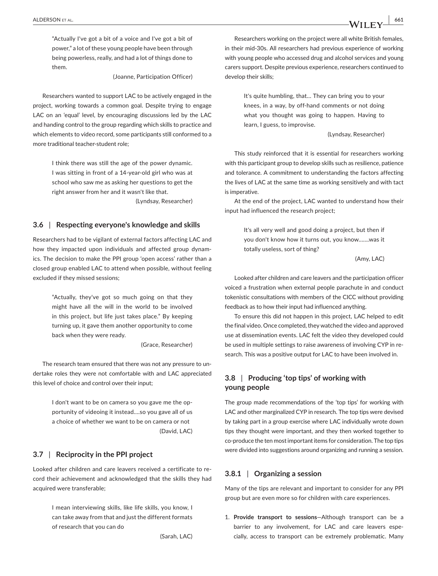"Actually I've got a bit of a voice and I've got a bit of power," a lot of these young people have been through being powerless, really, and had a lot of things done to them.

(Joanne, Participation Officer)

Researchers wanted to support LAC to be actively engaged in the project, working towards a common goal. Despite trying to engage LAC on an 'equal' level, by encouraging discussions led by the LAC and handing control to the group regarding which skills to practice and which elements to video record, some participants still conformed to a more traditional teacher‐student role;

> I think there was still the age of the power dynamic. I was sitting in front of a 14‐year‐old girl who was at school who saw me as asking her questions to get the right answer from her and it wasn't like that.

> > (Lyndsay, Researcher)

# **3.6** | **Respecting everyone's knowledge and skills**

Researchers had to be vigilant of external factors affecting LAC and how they impacted upon individuals and affected group dynamics. The decision to make the PPI group 'open access' rather than a closed group enabled LAC to attend when possible, without feeling excluded if they missed sessions;

> "Actually, they've got so much going on that they might have all the will in the world to be involved in this project, but life just takes place." By keeping turning up, it gave them another opportunity to come back when they were ready.

> > (Grace, Researcher)

The research team ensured that there was not any pressure to undertake roles they were not comfortable with and LAC appreciated this level of choice and control over their input;

> I don't want to be on camera so you gave me the opportunity of videoing it instead….so you gave all of us a choice of whether we want to be on camera or not (David, LAC)

# **3.7** | **Reciprocity in the PPI project**

Looked after children and care leavers received a certificate to record their achievement and acknowledged that the skills they had acquired were transferable;

> I mean interviewing skills, like life skills, you know, I can take away from that and just the different formats of research that you can do

> > (Sarah, LAC)

Researchers working on the project were all white British females, in their mid‐30s. All researchers had previous experience of working with young people who accessed drug and alcohol services and young carers support. Despite previous experience, researchers continued to develop their skills;

> It's quite humbling, that… They can bring you to your knees, in a way, by off-hand comments or not doing what you thought was going to happen. Having to learn, I guess, to improvise.

#### (Lyndsay, Researcher)

This study reinforced that it is essential for researchers working with this participant group to develop skills such as resilience, patience and tolerance. A commitment to understanding the factors affecting the lives of LAC at the same time as working sensitively and with tact is imperative.

At the end of the project, LAC wanted to understand how their input had influenced the research project;

> It's all very well and good doing a project, but then if you don't know how it turns out, you know…….was it totally useless, sort of thing?

> > (Amy, LAC)

Looked after children and care leavers and the participation officer voiced a frustration when external people parachute in and conduct tokenistic consultations with members of the CICC without providing feedback as to how their input had influenced anything.

To ensure this did not happen in this project, LAC helped to edit the final video. Once completed, they watched the video and approved use at dissemination events. LAC felt the video they developed could be used in multiple settings to raise awareness of involving CYP in research. This was a positive output for LAC to have been involved in.

# **3.8** | **Producing 'top tips' of working with young people**

The group made recommendations of the 'top tips' for working with LAC and other marginalized CYP in research. The top tips were devised by taking part in a group exercise where LAC individually wrote down tips they thought were important, and they then worked together to co‐produce the ten mostimportantitems for consideration. The top tips were divided into suggestions around organizing and running a session.

### **3.8.1** | **Organizing a session**

Many of the tips are relevant and important to consider for any PPI group but are even more so for children with care experiences.

1. **Provide transport to sessions**—Although transport can be a barrier to any involvement, for LAC and care leavers especially, access to transport can be extremely problematic. Many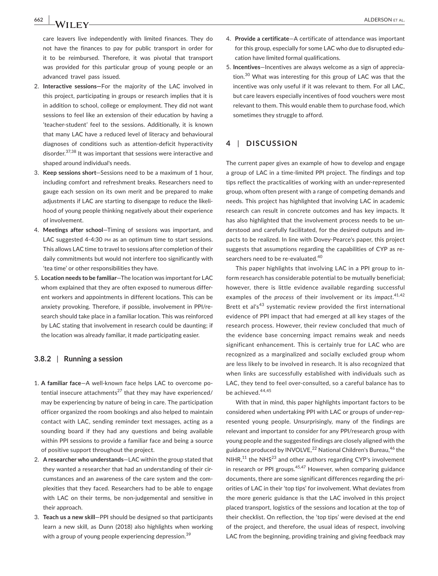**662 |**  ALDERSON et al.

care leavers live independently with limited finances. They do not have the finances to pay for public transport in order for it to be reimbursed. Therefore, it was pivotal that transport was provided for this particular group of young people or an advanced travel pass issued.

- 2. **Interactive sessions—**For the majority of the LAC involved in this project, participating in groups or research implies that it is in addition to school, college or employment. They did not want sessions to feel like an extension of their education by having a 'teacher-student' feel to the sessions. Additionally, it is known that many LAC have a reduced level of literacy and behavioural diagnoses of conditions such as attention‐deficit hyperactivity disorder.37,38 It was important that sessions were interactive and shaped around individual's needs.
- 3. **Keep sessions short**—Sessions need to be a maximum of 1 hour, including comfort and refreshment breaks. Researchers need to gauge each session on its own merit and be prepared to make adjustments if LAC are starting to disengage to reduce the likelihood of young people thinking negatively about their experience of involvement.
- 4. **Meetings after school**—Timing of sessions was important, and LAC suggested 4-4:30 PM as an optimum time to start sessions. This allows LAC time to travel to sessions after completion of their daily commitments but would not interfere too significantly with 'tea time' or other responsibilities they have.
- 5. **Location needs to be familiar**—The location was important for LAC whom explained that they are often exposed to numerous different workers and appointments in different locations. This can be anxiety provoking. Therefore, if possible, involvement in PPI/research should take place in a familiar location. This was reinforced by LAC stating that involvement in research could be daunting; if the location was already familiar, it made participating easier.

# **3.8.2** | **Running a session**

- 1. **A familiar face**—A well‐known face helps LAC to overcome potential insecure attachments<sup>27</sup> that they may have experienced/ may be experiencing by nature of being in care. The participation officer organized the room bookings and also helped to maintain contact with LAC, sending reminder text messages, acting as a sounding board if they had any questions and being available within PPI sessions to provide a familiar face and being a source of positive support throughout the project.
- 2. **A researcher who understands**—LAC within the group stated that they wanted a researcher that had an understanding of their circumstances and an awareness of the care system and the complexities that they faced. Researchers had to be able to engage with LAC on their terms, be non-judgemental and sensitive in their approach.
- 3. **Teach us a new skill**—PPI should be designed so that participants learn a new skill, as Dunn (2018) also highlights when working with a group of young people experiencing depression.<sup>39</sup>
- 4. **Provide a certificate**—A certificate of attendance was important for this group, especially for some LAC who due to disrupted education have limited formal qualifications.
- 5. **Incentives**—Incentives are always welcome as a sign of appreciation.<sup>30</sup> What was interesting for this group of LAC was that the incentive was only useful if it was relevant to them. For all LAC, but care leavers especially incentives of food vouchers were most relevant to them. This would enable them to purchase food, which sometimes they struggle to afford.

# **4** | **DISCUSSION**

The current paper gives an example of how to develop and engage a group of LAC in a time‐limited PPI project. The findings and top tips reflect the practicalities of working with an under‐represented group, whom often present with a range of competing demands and needs. This project has highlighted that involving LAC in academic research can result in concrete outcomes and has key impacts. It has also highlighted that the involvement process needs to be understood and carefully facilitated, for the desired outputs and impacts to be realized. In line with Dovey‐Pearce's paper, this project suggests that assumptions regarding the capabilities of CYP as researchers need to be re-evaluated.<sup>40</sup>

This paper highlights that involving LAC in a PPI group to inform research has considerable potential to be mutually beneficial; however, there is little evidence available regarding successful examples of the *process* of their involvement or its *impact*. 41,42 Brett et al's<sup>43</sup> systematic review provided the first international evidence of PPI impact that had emerged at all key stages of the research process. However, their review concluded that much of the evidence base concerning impact remains weak and needs significant enhancement. This is certainly true for LAC who are recognized as a marginalized and socially excluded group whom are less likely to be involved in research. It is also recognized that when links are successfully established with individuals such as LAC, they tend to feel over-consulted, so a careful balance has to be achieved.<sup>44,45</sup>

With that in mind, this paper highlights important factors to be considered when undertaking PPI with LAC or groups of under‐represented young people. Unsurprisingly, many of the findings are relevant and important to consider for any PPI/research group with young people and the suggested findings are closely aligned with the guidance produced by INVOLVE,<sup>22</sup> National Children's Bureau,<sup>46</sup> the  $NIHR<sup>11</sup>$  the NHS<sup>23</sup> and other authors regarding CYP's involvement in research or PPI groups.<sup>45,47</sup> However, when comparing guidance documents, there are some significant differences regarding the priorities of LAC in their 'top tips' for involvement. What deviates from the more generic guidance is that the LAC involved in this project placed transport, logistics of the sessions and location at the top of their checklist. On reflection, the 'top tips' were devised at the end of the project, and therefore, the usual ideas of respect, involving LAC from the beginning, providing training and giving feedback may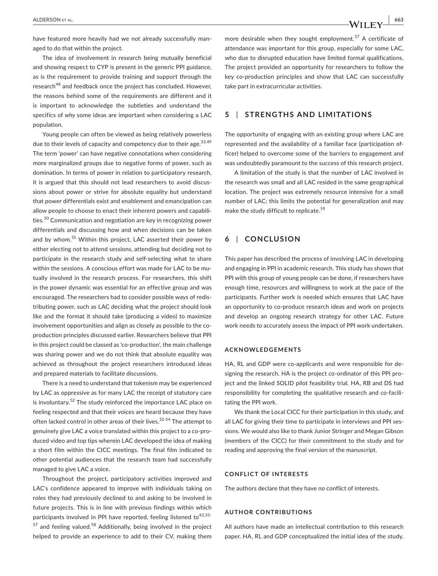have featured more heavily had we not already successfully managed to do that within the project.

The idea of involvement in research being mutually beneficial and showing respect to CYP is present in the generic PPI guidance, as is the requirement to provide training and support through the research<sup>48</sup> and feedback once the project has concluded. However, the reasons behind some of the requirements are different and it is important to acknowledge the subtleties and understand the specifics of *why* some ideas are important when considering a LAC population.

Young people can often be viewed as being relatively powerless due to their levels of capacity and competency due to their age.  $33,49$ The term 'power' can have negative connotations when considering more marginalized groups due to negative forms of power, such as domination. In terms of power in relation to participatory research, it is argued that this should not lead researchers to avoid discussions about power or strive for absolute equality but understand that power differentials exist and enablement and emancipation can allow people to choose to enact their inherent powers and capabilities.<sup>50</sup> Communication and negotiation are key in recognizing power differentials and discussing how and when decisions can be taken and by whom.<sup>51</sup> Within this project, LAC asserted their power by either electing not to attend sessions, attending but deciding not to participate in the research study and self-selecting what to share within the sessions. A conscious effort was made for LAC to be mutually involved in the research process. For researchers, this shift in the power dynamic was essential for an effective group and was encouraged. The researchers had to consider possible ways of redistributing power, such as LAC deciding what the project should look like and the format it should take (producing a video) to maximize involvement opportunities and align as closely as possible to the co‐ production principles discussed earlier. Researchers believe that PPI in this project could be classed as 'co-production', the main challenge was sharing power and we do not think that absolute equality was achieved as throughout the project researchers introduced ideas and prepared materials to facilitate discussions.

There is a need to understand that tokenism may be experienced by LAC as oppressive as for many LAC the receipt of statutory care is involuntary.<sup>52</sup> The study reinforced the importance LAC place on feeling respected and that their voices are heard because they have often lacked control in other areas of their lives.<sup>52-54</sup> The attempt to genuinely give LAC a voice translated within this project to a co‐produced video and top tips wherein LAC developed the idea of making a short film within the CICC meetings. The final film indicated to other potential audiences that the research team had successfully managed to give LAC a voice.

Throughout the project, participatory activities improved and LAC's confidence appeared to improve with individuals taking on roles they had previously declined to and asking to be involved in future projects. This is in line with previous findings within which participants involved in PPI have reported, feeling listened to<sup>43,55-</sup>  $57$  and feeling valued.<sup>58</sup> Additionally, being involved in the project helped to provide an experience to add to their CV, making them

more desirable when they sought employment.<sup>57</sup> A certificate of attendance was important for this group, especially for some LAC, who due to disrupted education have limited formal qualifications. The project provided an opportunity for researchers to follow the key co-production principles and show that LAC can successfully take part in extracurricular activities.

# **5** | **STRENGTHS AND LIMITATIONS**

The opportunity of engaging with an existing group where LAC are represented and the availability of a familiar face (participation officer) helped to overcome some of the barriers to engagement and was undoubtedly paramount to the success of this research project.

A limitation of the study is that the number of LAC involved in the research was small and all LAC resided in the same geographical location. The project was extremely resource intensive for a small number of LAC; this limits the potential for generalization and may make the study difficult to replicate.<sup>59</sup>

# **6** | **CONCLUSION**

This paper has described the process of involving LAC in developing and engaging in PPI in academic research. This study has shown that PPI with this group of young people can be done, if researchers have enough time, resources and willingness to work at the pace of the participants. Further work is needed which ensures that LAC have an opportunity to co-produce research ideas and work on projects and develop an ongoing research strategy for other LAC. Future work needs to accurately assess the impact of PPI work undertaken.

#### **ACKNOWLEDGEMENTS**

HA, RL and GDP were co-applicants and were responsible for designing the research. HA is the project co-ordinator of this PPI project and the linked SOLID pilot feasibility trial. HA, RB and DS had responsibility for completing the qualitative research and co-facilitating the PPI work.

We thank the Local CICC for their participation in this study, and all LAC for giving their time to participate in interviews and PPI sessions. We would also like to thank Junior Stringer and Megan Gibson (members of the CICC) for their commitment to the study and for reading and approving the final version of the manuscript.

### **CONFLICT OF INTERESTS**

The authors declare that they have no conflict of interests.

### **AUTHOR CONTRIBUTIONS**

All authors have made an intellectual contribution to this research paper. HA, RL and GDP conceptualized the initial idea of the study.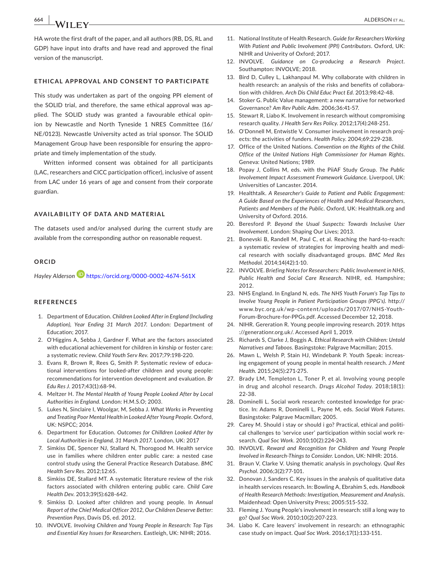**664 |**  ALDERSON et al.

HA wrote the first draft of the paper, and all authors (RB, DS, RL and GDP) have input into drafts and have read and approved the final version of the manuscript.

### **ETHICAL APPROVAL AND CONSENT TO PARTICIPATE**

This study was undertaken as part of the ongoing PPI element of the SOLID trial, and therefore, the same ethical approval was applied. The SOLID study was granted a favourable ethical opinion by Newcastle and North Tyneside 1 NRES Committee (16/ NE/0123). Newcastle University acted as trial sponsor. The SOLID Management Group have been responsible for ensuring the appropriate and timely implementation of the study.

Written informed consent was obtained for all participants (LAC, researchers and CICC participation officer), inclusive of assent from LAC under 16 years of age and consent from their corporate guardian.

# **AVAILABILITY OF DATA AND MATERIAL**

The datasets used and/or analysed during the current study are available from the corresponding author on reasonable request.

### **ORCID**

*Hayley Alderson* <https://orcid.org/0000-0002-4674-561X>

### **REFERENCES**

- 1. Department of Education. *Children Looked After in England (Including Adoption), Year Ending 31 March 2017*. London: Department of Education; 2017.
- 2. O'Higgins A, Sebba J, Gardner F. What are the factors associated with educational achievement for children in kinship or foster care: a systematic review. *Child Youth Serv Rev*. 2017;79:198-220.
- 3. Evans R, Brown R, Rees G, Smith P. Systematic review of educational interventions for looked‐after children and young people: recommendations for intervention development and evaluation. *Br Edu Res J*. 2017;43(1):68‐94.
- 4. Meltzer H. *The Mental Health of Young People Looked After by Local Authorities in England*. London: H.M.S.O; 2003.
- 5. Lukes N, Sinclaire I, Woolgar, M, Sebba J. *What Works in Preventing and Treating Poor Mental Health in Looked After Young People*. Oxford, UK: NSPCC; 2014.
- 6. Department for Education. *Outcomes for Chilldren Looked After by Local Authorities in England, 31 March 2017*. London, UK: 2017
- 7. Simkiss DE, Spencer NJ, Stallard N, Thorogood M. Health service use in families where children enter public care: a nested case control study using the General Practice Research Database. *BMC Health Serv Res*. 2012;12:65.
- 8. Simkiss DE, Stallard MT. A systematic literature review of the risk factors associated with children entering public care. *Child Care Health Dev*. 2013;39(5):628‐642.
- 9. Simkiss D. Looked after children and young people. In *Annual Report of the Chief Medical Officer 2012, Our Children Deserve Better: Prevention Pays*, Davis DS, ed. 2012.
- 10. INVOLVE. *Involving Children and Young People in Research: Top Tips and Essential Key Issues for Researchers*. Eastleigh, UK: NIHR; 2016.
- 11. National Institute of Health Research. *Guide for Researchers Working With Patient and Public Involvement (PPI) Contributors*. Oxford, UK: NIHR and Univerity of Oxford; 2017.
- 12. **INVOLVE.** Guidance on Co-producing a Research Project. Southampton: INVOLVE; 2018.
- 13. Bird D, Culley L, Lakhanpaul M, Why collaborate with children in health research: an analysis of the risks and benefits of collaboration with children. *Arch Dis Child Educ Pract Ed*. 2013;98:42-48.
- 14. Stoker G. Public Value management: a new narrative for networked Governance? *Am Rev Public Adm*. 2006;36:41-57.
- 15. Stewart R, Liabo K. Involvement in research without compromising research quality. *J Health Serv Res Policy*. 2012;17(4):248‐251.
- 16. O'Donnell M, Entwistle V. Consumer involvement in research projects: the activities of funders. *Health Policy*. 2004;69:229-238.
- 17. Office of the United Nations. *Convention on the Rights of the Child. Office of the United Nations High Commissioner for Human Rights*. Geneva: United Nations; 1989.
- 18. Popay J, Collins M, eds. with the PiiAF Study Group. *The Public Involvement Impact Assessment Framework Guidance*. Liverpool, UK: Universities of Lancaster. 2014.
- 19. Healthtalk. *A Researcher's Guide to Patient and Public Engagement: A Guide Based on the Experiences of Health and Medical Researchers, Patients and Members of the Public*. Oxford, UK: Healthtalk.org and University of Oxford. 2016.
- 20. Beresford P. *Beyond the Usual Suspects: Towards Inclusive User Involvement*. London: Shaping Our Lives; 2013.
- 21. Bonevski B, Randell M, Paul C, et al. Reaching the hard-to-reach: a systematic review of strategies for improving health and medical research with socially disadvantaged groups. *BMC Med Res Methodol*. 2014;14(42):1-10.
- 22. INVOLVE. *Briefing Notes for Researchers: Public Involvement in NHS, Public Health and Social Care Research*. NIHR, ed. Hampshire; 2012.
- 23. NHS England. In England N, eds. *The NHS Youth Forum's Top Tips to Involve Young People in Patient Participation Groups (PPG's)*. [http://](http://www.byc.org.uk/wp-content/uploads/2017/07/NHS-Youth-Forum-Brochure-for-PPGs.pdf) [www.byc.org.uk/wp-content/uploads/2017/07/NHS-Youth-](http://www.byc.org.uk/wp-content/uploads/2017/07/NHS-Youth-Forum-Brochure-for-PPGs.pdf)[Forum-Brochure-for-PPGs.pdf.](http://www.byc.org.uk/wp-content/uploads/2017/07/NHS-Youth-Forum-Brochure-for-PPGs.pdf) Accessed December 12, 2018.
- 24. NIHR. Gereration R. Young people improving research. 2019. [https](https://generationr.org.uk/) [://generationr.org.uk/.](https://generationr.org.uk/) Accessed April 1, 2019.
- 25. Richards S, Clarke J, Boggis A. *Ethical Research with Children: Untold Narratives and Taboos*. Basingstoke: Palgrave Macmillan; 2015.
- 26. Mawn L, Welsh P, Stain HJ, Windebank P. Youth Speak: increasing engagement of young people in mental health research. *J Ment Health*. 2015;24(5):271‐275.
- 27. Brady LM, Templeton L, Toner P, et al. Involving young people in drug and alcohol research. *Drugs Alcohol Today*. 2018;18(1): 22-38.
- 28. Dominelli L. Social work research: contested knowledge for practice. In: Adams R, Dominelli L, Payne M, eds. *Social Work Futures*. Basingstoke: Palgrave Macmillan; 2005.
- 29. Carey M. Should i stay or should i go? Practical, ethical and political challenges to 'service user' participation within social work research. *Qual Soc Work*. 2010;10(2):224‐243.
- 30. INVOLVE. *Reward and Recognition for Children and Young People Involved in Research‐Things to Consider*. London, UK: NIHR: 2016.
- 31. Braun V, Clarke V. Using thematic analysis in psychology. *Qual Res Psychol*. 2006;3(2):77‐101.
- 32. Donovan J, Sanders C. Key issues in the analysis of qualitative data in health services research. In: Bowling A, Ebrahim S, eds. *Handbook of Health Research Methods: Investigation, Measurement and Analysis*. Maidenhead: Open University Press; 2005:515‐532.
- 33. Fleming J. Young People's involvment in research: still a long way to go? *Qual Soc Work*. 2010;10(2):207‐223.
- 34. Liabo K. Care leavers' involvement in research: an ethnographic case study on impact. *Qual Soc Work*. 2016;17(1):133‐151.